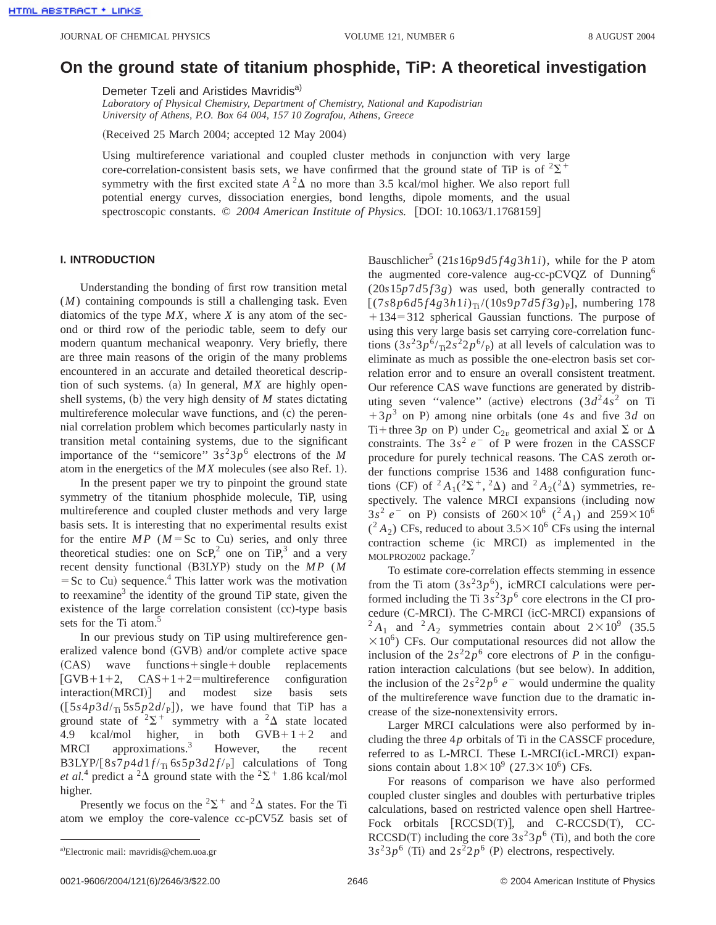## **On the ground state of titanium phosphide, TiP: A theoretical investigation**

Demeter Tzeli and Aristides Mavridis<sup>a)</sup>

*Laboratory of Physical Chemistry, Department of Chemistry, National and Kapodistrian University of Athens, P.O. Box 64 004, 157 10 Zografou, Athens, Greece*

(Received 25 March 2004; accepted 12 May 2004)

Using multireference variational and coupled cluster methods in conjunction with very large core-correlation-consistent basis sets, we have confirmed that the ground state of TiP is of  $2\Sigma^+$ symmetry with the first excited state  $A^2\Delta$  no more than 3.5 kcal/mol higher. We also report full potential energy curves, dissociation energies, bond lengths, dipole moments, and the usual spectroscopic constants. © 2004 American Institute of Physics. [DOI: 10.1063/1.1768159]

## **I. INTRODUCTION**

Understanding the bonding of first row transition metal (*M*) containing compounds is still a challenging task. Even diatomics of the type  $MX$ , where  $X$  is any atom of the second or third row of the periodic table, seem to defy our modern quantum mechanical weaponry. Very briefly, there are three main reasons of the origin of the many problems encountered in an accurate and detailed theoretical description of such systems. (a) In general,  $MX$  are highly openshell systems,  $(b)$  the very high density of  $M$  states dictating multireference molecular wave functions, and  $(c)$  the perennial correlation problem which becomes particularly nasty in transition metal containing systems, due to the significant importance of the "semicore"  $3s^23p^6$  electrons of the *M* atom in the energetics of the  $MX$  molecules (see also Ref. 1).

In the present paper we try to pinpoint the ground state symmetry of the titanium phosphide molecule, TiP, using multireference and coupled cluster methods and very large basis sets. It is interesting that no experimental results exist for the entire  $MP$  ( $M = Sc$  to Cu) series, and only three theoretical studies: one on  $ScP<sub>1</sub><sup>2</sup>$  one on TiP<sub>3</sub><sup>3</sup> and a very recent density functional (B3LYP) study on the *MP* (*M*  $=$  Sc to Cu) sequence.<sup>4</sup> This latter work was the motivation to reexamine<sup>3</sup> the identity of the ground TiP state, given the existence of the large correlation consistent  $(cc)$ -type basis sets for the Ti atom.<sup>5</sup>

In our previous study on TiP using multireference generalized valence bond  $(GVB)$  and/or complete active space  $(CAS)$  wave functions + single + double replacements  $[GVB+1+2, \quad CAS+1+2=multireference \quad configuration$  $interaction(MRCI)]$  and modest size basis sets  $([5s4p3d/\text{T}_\text{II} 5s5p2d/\text{P}])$ , we have found that TiP has a ground state of  $2\Sigma^+$  symmetry with a  $2\Delta$  state located 4.9 kcal/mol higher, in both  $GVB+1+2$  and MRCI approximations.<sup>3</sup> However, the recent B3LYP/[8*s*7*p*4*d*1*f*/<sub>Ti</sub> 6*s*5*p*3*d*2*f*/<sub>P</sub>] calculations of Tong *et al.*<sup>4</sup> predict a <sup>2</sup> $\Delta$  ground state with the <sup>2</sup> $\Sigma$ <sup>+</sup> 1.86 kcal/mol higher.

Presently we focus on the <sup>2</sup> $\Sigma$ <sup>+</sup> and <sup>2</sup> $\Delta$  states. For the Ti atom we employ the core-valence cc-pCV5Z basis set of Bauschlicher<sup>5</sup> (21*s*16*p*9*d*5*f*4*g*3*h*1*i*), while for the P atom the augmented core-valence aug-cc-pCVQZ of Dunning<sup>6</sup>  $(20s15p7d5f3g)$  was used, both generally contracted to  $[(7s8p6d5f4g3h1i)_{Ti}/(10s9p7d5f3g)_{P}]$ , numbering 178  $+134=312$  spherical Gaussian functions. The purpose of using this very large basis set carrying core-correlation functions  $(3s^23p^6/\pi^22s^22p^6)$  at all levels of calculation was to eliminate as much as possible the one-electron basis set correlation error and to ensure an overall consistent treatment. Our reference CAS wave functions are generated by distributing seven "valence" (active) electrons  $(3d^2 4s^2)$  on Ti  $13p<sup>3</sup>$  on P) among nine orbitals (one 4*s* and five 3*d* on Ti+three 3*p* on P) under C<sub>2*v*</sub> geometrical and axial  $\Sigma$  or  $\Delta$ constraints. The  $3s^2 e^-$  of P were frozen in the CASSCF procedure for purely technical reasons. The CAS zeroth order functions comprise 1536 and 1488 configuration functions (CF) of <sup>2</sup> *A*<sub>1</sub>(<sup>2</sup> $\Sigma$ <sup>+</sup>, <sup>2</sup> $\Delta$ ) and <sup>2</sup> *A*<sub>2</sub>(<sup>2</sup> $\Delta$ ) symmetries, respectively. The valence MRCI expansions (including now  $3s^2 e^-$  on P) consists of  $260 \times 10^6$  (<sup>2</sup>A<sub>1</sub>) and  $259 \times 10^6$  $(^{2}A_{2})$  CFs, reduced to about  $3.5 \times 10^{6}$  CFs using the internal contraction scheme (ic MRCI) as implemented in the MOLPRO2002 package.

To estimate core-correlation effects stemming in essence from the Ti atom  $(3s^23p^6)$ , icMRCI calculations were performed including the Ti  $3s^23p^6$  core electrons in the CI procedure (C-MRCI). The C-MRCI (icC-MRCI) expansions of  $^{2}A_{1}$  and  $^{2}A_{2}$  symmetries contain about  $2\times10^{9}$  (35.5)  $\times 10^6$ ) CFs. Our computational resources did not allow the inclusion of the  $2s^22p^6$  core electrons of *P* in the configuration interaction calculations (but see below). In addition, the inclusion of the  $2s^22p^6$  *e*<sup>-</sup> would undermine the quality of the multireference wave function due to the dramatic increase of the size-nonextensivity errors.

Larger MRCI calculations were also performed by including the three 4*p* orbitals of Ti in the CASSCF procedure, referred to as L-MRCI. These L-MRCI(icL-MRCI) expansions contain about  $1.8 \times 10^9$  (27.3 $\times 10^6$ ) CFs.

For reasons of comparison we have also performed coupled cluster singles and doubles with perturbative triples calculations, based on restricted valence open shell Hartree-Fock orbitals  $[RCCSD(T)]$ , and C-RCCSD(T), CC-RCCSD(T) including the core  $3s^23p^6$  (Ti), and both the core  $3s<sup>2</sup>3p<sup>6</sup>$  (Ti) and  $2s<sup>2</sup>2p<sup>6</sup>$  (P) electrons, respectively.

Electronic mail: mavridis@chem.uoa.gr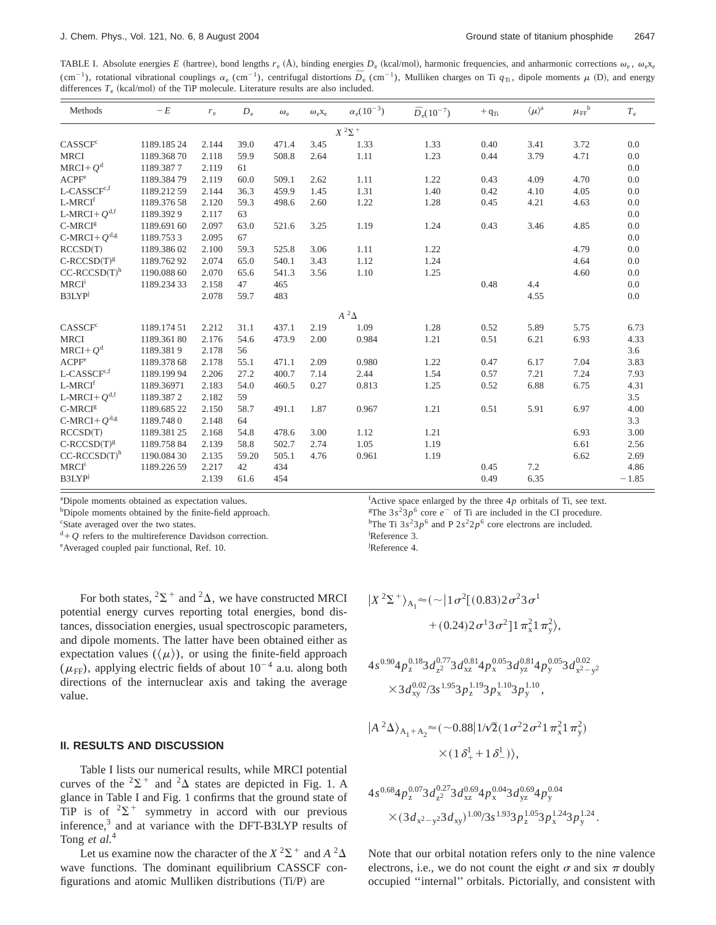TABLE I. Absolute energies *E* (hartree), bond lengths  $r_e$  (Å), binding energies  $D_e$  (kcal/mol), harmonic frequencies, and anharmonic corrections  $\omega_e$ ,  $\omega_e x_e$ (cm<sup>-1</sup>), rotational vibrational couplings  $\alpha_e$  (cm<sup>-1</sup>), centrifugal distortions  $\overline{D}_e$  (cm<sup>-1</sup>), Mulliken charges on Ti  $q_T$ , dipole moments  $\mu$  (D), and energy differences  $T_e$  (kcal/mol) of the TiP molecule. Literature results are also included.

| Methods                        | $-E$        | $r_{\rm e}$ | $D_e$ | $\omega_{\rm e}$ | $\omega_{e}X_{e}$ | $\alpha_{\rm e} (10^{-3})$ | $\bar{D}_e(10^{-7})$ | $+ \, {\rm q}_{\rm Ti}$ | $\langle \mu \rangle^{\rm a}$ | $\mu_{\text{FF}}^{~~\text{b}}$ | $T_{\rm e}$ |
|--------------------------------|-------------|-------------|-------|------------------|-------------------|----------------------------|----------------------|-------------------------|-------------------------------|--------------------------------|-------------|
|                                |             |             |       |                  |                   | $X$ $^2\Sigma$ $^+$        |                      |                         |                               |                                |             |
| CASSCF <sup>c</sup>            | 1189.18524  | 2.144       | 39.0  | 471.4            | 3.45              | 1.33                       | 1.33                 | 0.40                    | 3.41                          | 3.72                           | 0.0         |
| <b>MRCI</b>                    | 1189.36870  | 2.118       | 59.9  | 508.8            | 2.64              | 1.11                       | 1.23                 | 0.44                    | 3.79                          | 4.71                           | 0.0         |
| $MRCI+Qd$                      | 1189.3877   | 2.119       | 61    |                  |                   |                            |                      |                         |                               |                                | 0.0         |
| ACPF <sup>e</sup>              | 1189.38479  | 2.119       | 60.0  | 509.1            | 2.62              | 1.11                       | 1.22                 | 0.43                    | 4.09                          | 4.70                           | 0.0         |
| $\mbox{L-CASSCF}^{\mbox{c,f}}$ | 1189.21259  | 2.144       | 36.3  | 459.9            | 1.45              | 1.31                       | 1.40                 | 0.42                    | 4.10                          | 4.05                           | 0.0         |
| L-MRCI <sup>f</sup>            | 1189.37658  | 2.120       | 59.3  | 498.6            | 2.60              | 1.22                       | 1.28                 | 0.45                    | 4.21                          | 4.63                           | 0.0         |
| L-MRCI+ $Q^{d,f}$              | 1189.3929   | 2.117       | 63    |                  |                   |                            |                      |                         |                               |                                | 0.0         |
| C-MRCI <sup>g</sup>            | 1189.691 60 | 2.097       | 63.0  | 521.6            | 3.25              | 1.19                       | 1.24                 | 0.43                    | 3.46                          | 4.85                           | 0.0         |
| C-MRCI+ $Q^{d,g}$              | 1189.7533   | 2.095       | 67    |                  |                   |                            |                      |                         |                               |                                | 0.0         |
| RCCSD(T)                       | 1189.38602  | 2.100       | 59.3  | 525.8            | 3.06              | 1.11                       | 1.22                 |                         |                               | 4.79                           | 0.0         |
| $C$ -RCCSD $(T)^g$             | 1189.76292  | 2.074       | 65.0  | 540.1            | 3.43              | 1.12                       | 1.24                 |                         |                               | 4.64                           | 0.0         |
| $CC-RCCSD(T)h$                 | 1190.088 60 | 2.070       | 65.6  | 541.3            | 3.56              | 1.10                       | 1.25                 |                         |                               | 4.60                           | 0.0         |
| <b>MRCI</b> <sup>i</sup>       | 1189.23433  | 2.158       | 47    | 465              |                   |                            |                      | 0.48                    | 4.4                           |                                | 0.0         |
| B3LYP                          |             | 2.078       | 59.7  | 483              |                   |                            |                      |                         | 4.55                          |                                | 0.0         |
|                                |             |             |       |                  |                   | $A^2\Delta$                |                      |                         |                               |                                |             |
| CASSCF <sup>c</sup>            | 1189.17451  | 2.212       | 31.1  | 437.1            | 2.19              | 1.09                       | 1.28                 | 0.52                    | 5.89                          | 5.75                           | 6.73        |
| <b>MRCI</b>                    | 1189.36180  | 2.176       | 54.6  | 473.9            | 2.00              | 0.984                      | 1.21                 | 0.51                    | 6.21                          | 6.93                           | 4.33        |
| MRCI+ $Q^d$                    | 1189.3819   | 2.178       | 56    |                  |                   |                            |                      |                         |                               |                                | 3.6         |
| ACPF <sup>e</sup>              | 1189.378 68 | 2.178       | 55.1  | 471.1            | 2.09              | 0.980                      | 1.22                 | 0.47                    | 6.17                          | 7.04                           | 3.83        |
| L-CASSCF <sup>c,f</sup>        | 1189.19994  | 2.206       | 27.2  | 400.7            | 7.14              | 2.44                       | 1.54                 | 0.57                    | 7.21                          | 7.24                           | 7.93        |
| L-MRCI <sup>f</sup>            | 1189.36971  | 2.183       | 54.0  | 460.5            | 0.27              | 0.813                      | 1.25                 | 0.52                    | 6.88                          | 6.75                           | 4.31        |
| L-MRCI+ $Q^{d,f}$              | 1189.3872   | 2.182       | 59    |                  |                   |                            |                      |                         |                               |                                | 3.5         |
| $C-MRCIg$                      | 1189.685 22 | 2.150       | 58.7  | 491.1            | 1.87              | 0.967                      | 1.21                 | 0.51                    | 5.91                          | 6.97                           | 4.00        |
| C-MRCI+ $Q^{d,g}$              | 1189.7480   | 2.148       | 64    |                  |                   |                            |                      |                         |                               |                                | 3.3         |
| RCCSD(T)                       | 1189.38125  | 2.168       | 54.8  | 478.6            | 3.00              | 1.12                       | 1.21                 |                         |                               | 6.93                           | 3.00        |
| $C$ -RCCSD $(T)^g$             | 1189.75884  | 2.139       | 58.8  | 502.7            | 2.74              | 1.05                       | 1.19                 |                         |                               | 6.61                           | 2.56        |
| $CC-RCCSD(T)h$                 | 1190.084 30 | 2.135       | 59.20 | 505.1            | 4.76              | 0.961                      | 1.19                 |                         |                               | 6.62                           | 2.69        |
| <b>MRCI</b> <sup>i</sup>       | 1189.226 59 | 2.217       | 42    | 434              |                   |                            |                      | 0.45                    | 7.2                           |                                | 4.86        |
| B3LYP                          |             | 2.139       | 61.6  | 454              |                   |                            |                      | 0.49                    | 6.35                          |                                | $-1.85$     |

<sup>a</sup>Dipole moments obtained as expectation values.

 $b$ Dipole moments obtained by the finite-field approach.

<sup>c</sup>State averaged over the two states.

 $d+Q$  refers to the multireference Davidson correction.

<sup>e</sup> Averaged coupled pair functional, Ref. 10.

For both states,  ${}^{2}\Sigma^{+}$  and  ${}^{2}\Delta$ , we have constructed MRCI potential energy curves reporting total energies, bond distances, dissociation energies, usual spectroscopic parameters, and dipole moments. The latter have been obtained either as expectation values  $(\langle \mu \rangle)$ , or using the finite-field approach  $(\mu_{\text{FF}})$ , applying electric fields of about  $10^{-4}$  a.u. along both directions of the internuclear axis and taking the average value.

## **II. RESULTS AND DISCUSSION**

Table I lists our numerical results, while MRCI potential curves of the  $2\Sigma^+$  and  $2\Delta$  states are depicted in Fig. 1. A glance in Table I and Fig. 1 confirms that the ground state of TiP is of  $2\Sigma^+$  symmetry in accord with our previous inference,3 and at variance with the DFT-B3LYP results of Tong *et al.*<sup>4</sup>

Let us examine now the character of the  $X^2\Sigma^+$  and  $A^2\Delta$ wave functions. The dominant equilibrium CASSCF configurations and atomic Mulliken distributions  $(Ti/P)$  are

 ${}^{\text{f}}$ Active space enlarged by the three  $4p$  orbitals of Ti, see text. <sup>g</sup>The  $3s^23p^6$  core  $e^-$  of Ti are included in the CI procedure. <sup>h</sup>The Ti  $3s^23p^6$  and P  $2s^22p^6$  core electrons are included. Reference 3.

Reference 4.

$$
|X^2\Sigma^+\rangle_{A_1} \approx (\sim |1\sigma^2[(0.83)2\sigma^23\sigma^1
$$
  
  $+(0.24)2\sigma^13\sigma^2]1\pi_x^21\pi_y^2$ 

$$
4s^{0.90}4p_x^{0.18}3d_{x^2}^{0.77}3d_{xz}^{0.81}4p_x^{0.05}3d_{yz}^{0.81}4p_y^{0.05}3d_{x^2-y^2}^{0.02}
$$
  

$$
\times 3d_{xy}^{0.02}/3s^{1.95}3p_x^{1.19}3p_x^{1.10}3p_y^{1.10},
$$

$$
|A^2\Delta\rangle_{A_1 + A_2} \approx (\sim 0.88 | 1/\sqrt{2} (1 \sigma^2 2 \sigma^2 1 \pi_x^2 1 \pi_y^2)
$$
  
 
$$
\times (1 \delta_+^1 + 1 \delta_-^1)),
$$

$$
\begin{aligned} &4s^{0.68}4p^{0.07}_z3d^{0.27}_{z^2}3d^{0.69}_{xz}4p^{0.04}_x3d^{0.69}_{yz}4p^{0.04}_y\\&\times(3d_{x^2-y^2}3d_{xy})^{1.00}/3s^{1.93}3p^{1.05}_z3p^{1.24}_x3p^{1.24}_y. \end{aligned}
$$

Note that our orbital notation refers only to the nine valence electrons, i.e., we do not count the eight  $\sigma$  and six  $\pi$  doubly occupied ''internal'' orbitals. Pictorially, and consistent with